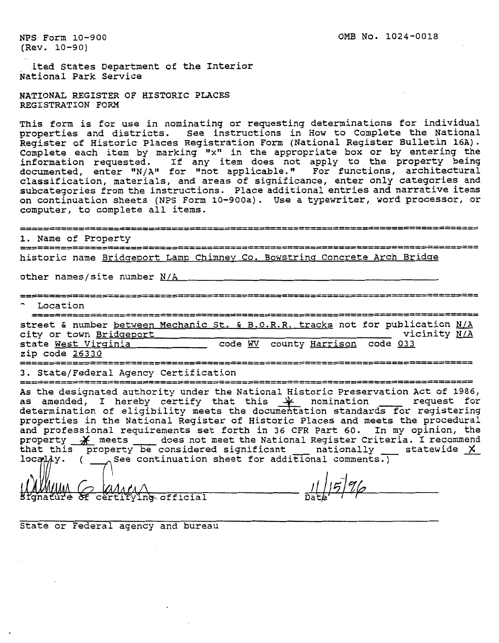NPS Form 10-900 (Rev. 10-90)

. ited States Department of the Interior National Park Service

NATIONAL REGISTER OF HISTORIC PLACES REGISTRATION FORM

This form is for use in nominating or requesting determinations for individual properties and districts. See instructions in How to Complete the National egister of Historic Places Registration Form (National Register Bulletin 16A). Complete each item by marking "x" in the appropriate box or by entering the information requested. If any item does not apply to the property being documented, enter "N/A" for "not applicable." For functions, architectural classification, materials, and areas of significance, enter only categories and subcategories from the instructions. Place additional entries and narrative items on continuation sheets (NPS Form 10-900a). Use a typewriter, word processor, or computer, to complete all items.

**1.** Name of Property historic name Bridgeport Lamp Chimney Co. Bowstring Concrete Arch Bridge other names/site number N/A " Location street & number between Mechanic St. **6** B.O.R.R. tracks not for publication N/A city or town Bridgeport 1997 and 1997 wicinity N/A state West Virginia \_\_\_\_\_\_\_\_\_\_\_\_\_ code WV county Harrison code 033 zip code 26330 ............................................................................ 3. State/Federal Agency Certification property effect the National Register criteria. I recommended the National Register criteria. I recommend that this the National Register of Historic Places and meets for registering properties in the National Register of As the designated authority under the National Historic Preservation Act of 1986, as amended, I hereby certify that this  $\mathcal{X}$  nomination  $\qquad$  request for determination of eligibility meets the documentation standards for registering properties in the National Register of Historic Places and meets the procedural and professional requirements set forth in 36 CFR Part 60. In my opinion, the

 $\alpha\Lambda_4\alpha\Lambda$ certifying official

 $11/57%$ 

State or Federal agency and bureau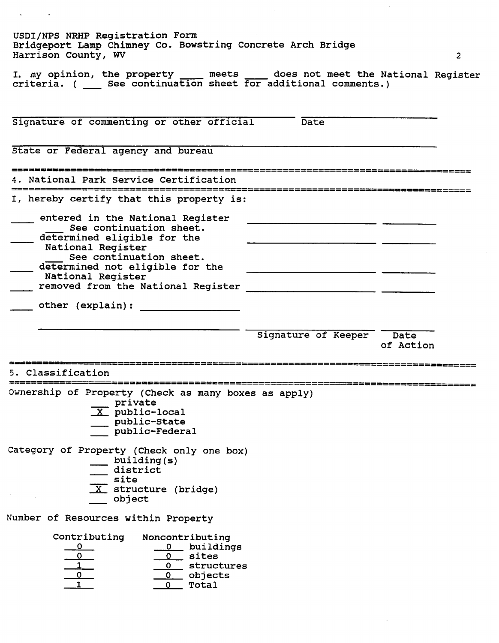| Harrison County, WV                                                                                                                                                                                                                                                | Bridgeport Lamp Chimney Co. Bowstring Concrete Arch Bridge | $\overline{2}$ |
|--------------------------------------------------------------------------------------------------------------------------------------------------------------------------------------------------------------------------------------------------------------------|------------------------------------------------------------|----------------|
| I. my opinion, the property _____ meets _____ does not meet the National Register criteria. ( _____ See continuation sheet for additional comments.)                                                                                                               |                                                            |                |
| Signature of commenting or other official Date                                                                                                                                                                                                                     |                                                            |                |
| State or Federal agency and bureau                                                                                                                                                                                                                                 |                                                            |                |
| 4. National Park Service Certification                                                                                                                                                                                                                             |                                                            |                |
| I, hereby certify that this property is:<br>entered in the National Register<br>See continuation sheet.<br>determined eligible for the<br>National Register<br>See continuation sheet.<br>determined not eligible for the<br>National Register<br>other (explain): |                                                            |                |
|                                                                                                                                                                                                                                                                    | Signature of Keeper Date                                   | of Action      |
| 5. Classification                                                                                                                                                                                                                                                  |                                                            |                |
| Ownership of Property (Check as many boxes as apply)<br>private<br>$X$ public-local<br>public-State<br>public-Federal<br>Category of Property (Check only one box)<br>building(s)                                                                                  |                                                            |                |
| district<br>site<br>$\overline{X}$ structure (bridge)<br>object                                                                                                                                                                                                    |                                                            |                |
| Number of Resources within Property                                                                                                                                                                                                                                |                                                            |                |
|                                                                                                                                                                                                                                                                    |                                                            |                |

 $\mathbf{v} = \mathbf{v} \times \mathbf{v}$ 

 $\sim$   $\sim$ 

 $\mathcal{O}(\mathcal{O}(\log n))$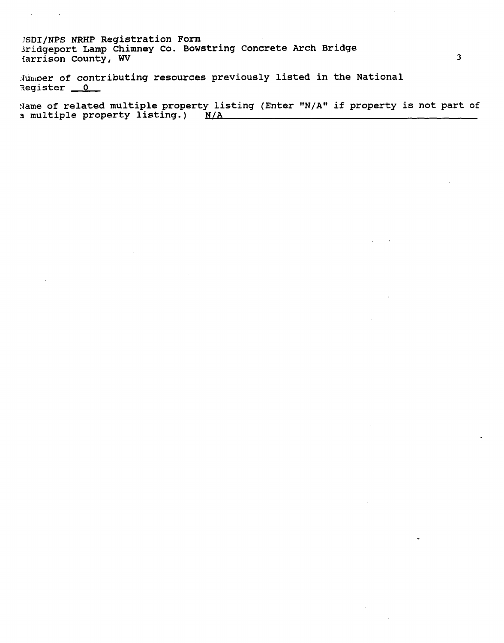**rSDI/NPS NRHP Registration Form 3ridgeport Lamp Chimney Co. Bowstring Concrete Arch Bridge larrison County, WV** 

 $\mathcal{A}^{\mathcal{A}}$  and  $\mathcal{A}^{\mathcal{A}}$  and  $\mathcal{A}^{\mathcal{A}}$ 

**-Jurmer of contributing resources previously listed in the National iegister 0** 

**Name of related multiple property listing (Enter "N/AW if property is not part of 3 multiple property listing.) N/A**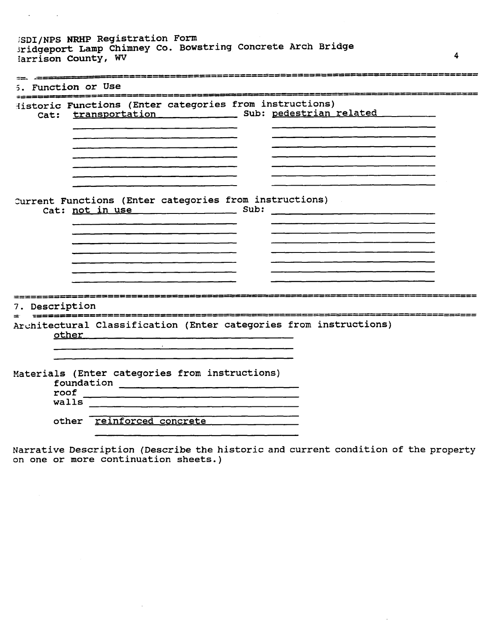**SDI/NPS NRHP Registration Form 3ridgeport Lamp Chimney Co. Bowstring Concrete farrison County, WV Arch Bridge** 

 $\mathcal{L}(\mathbf{A})$  and  $\mathcal{L}(\mathbf{A})$  and  $\mathcal{L}(\mathbf{A})$ 

 $\sim$ 

 $\mathcal{A}$ 

| Function or Use | ▆▅▅▆▅▅▅▅▅▅▅▅▅▅▅▅                                                                                       |
|-----------------|--------------------------------------------------------------------------------------------------------|
|                 | Historic Functions (Enter categories from instructions)<br>Cat: transportation Sub: pedestrian related |
|                 |                                                                                                        |
|                 | Current Functions (Enter categories from instructions)<br>$\sim 10^6$<br>Cat: not in use Sub:          |
|                 |                                                                                                        |
| 7. Description  | _______________________                                                                                |
|                 | Architectural Classification (Enter categories from instructions)<br>other _____                       |
| walls           | Materials (Enter categories from instructions)                                                         |
|                 | other reinforced concrete                                                                              |

**4** 

**Narrative Description (Describe the historic and current condition of the property on one or more continuation sheets.)** 

 $\sim$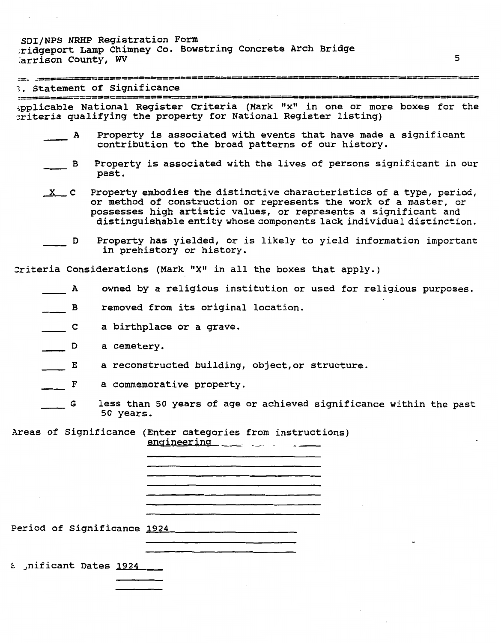SDI/NPS **NRHP** Registration Form .ridgeport Lamp Chimney Co. Bowstring Concrete Arch Bridge :arrison County, **WV** 

 $\Delta \phi = 0.01$  and  $\Delta \phi$ 

| $\alpha$ . $\alpha$                             | /2225555505522355552255555555                                                                                                                                                                                                                                                       |
|-------------------------------------------------|-------------------------------------------------------------------------------------------------------------------------------------------------------------------------------------------------------------------------------------------------------------------------------------|
| 12002222302222232222222                         | 3. Statement of Significance<br>=≈====                                                                                                                                                                                                                                              |
|                                                 | Applicable National Register Criteria (Mark "x" in one or more boxes for the<br>priteria qualifying the property for National Register listing)                                                                                                                                     |
| $\mathbf{A}$                                    | Property is associated with events that have made a significant<br>contribution to the broad patterns of our history.                                                                                                                                                               |
| $\mathbf{B}$                                    | Property is associated with the lives of persons significant in our<br>past.                                                                                                                                                                                                        |
| $X$ C                                           | Property embodies the distinctive characteristics of a type, period,<br>or method of construction or represents the work of a master, or<br>possesses high artistic values, or represents a significant and<br>distinguishable entity whose components lack individual distinction. |
| D                                               | Property has yielded, or is likely to yield information important<br>in prehistory or history.                                                                                                                                                                                      |
|                                                 | Criteria Considerations (Mark "X" in all the boxes that apply.)                                                                                                                                                                                                                     |
| A                                               | owned by a religious institution or used for religious purposes.                                                                                                                                                                                                                    |
| $\begin{array}{ccc} & & \mathbf{B} \end{array}$ | removed from its original location.                                                                                                                                                                                                                                                 |
| $\overline{\phantom{a}}$ c                      | a birthplace or a grave.                                                                                                                                                                                                                                                            |
| $\overline{\phantom{a}}$                        | a cemetery.                                                                                                                                                                                                                                                                         |
| $\overline{E}$                                  | a reconstructed building, object, or structure.                                                                                                                                                                                                                                     |
| F                                               | a commemorative property.                                                                                                                                                                                                                                                           |
| G                                               | less than 50 years of age or achieved significance within the past<br>50 years.                                                                                                                                                                                                     |
|                                                 | Areas of Significance (Enter categories from instructions)<br>$enqineering$ $\longrightarrow$ $\longrightarrow$ $\longrightarrow$                                                                                                                                                   |
|                                                 |                                                                                                                                                                                                                                                                                     |
|                                                 |                                                                                                                                                                                                                                                                                     |
|                                                 | <u> 1980 - Jan James James Barnett, fransk politik (d. 1980)</u>                                                                                                                                                                                                                    |
|                                                 | Period of Significance 1924 2008 2010 2021                                                                                                                                                                                                                                          |
|                                                 |                                                                                                                                                                                                                                                                                     |
| nificant Dates 1924                             |                                                                                                                                                                                                                                                                                     |
|                                                 |                                                                                                                                                                                                                                                                                     |

5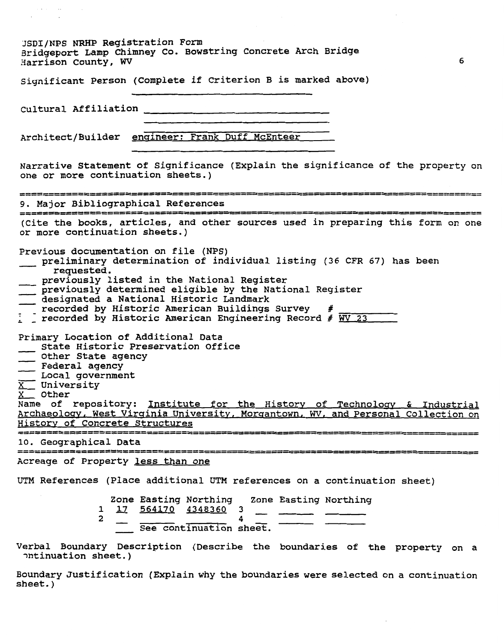| USDI/NPS NRHP Registration Form<br>Bridgeport Lamp Chimney Co. Bowstring Concrete Arch Bridge<br>Harrison County, WV<br>6                                                                                                                                                                                                                                                                                                                                                                                                                                                                                                                                                                                                                                                                           |
|-----------------------------------------------------------------------------------------------------------------------------------------------------------------------------------------------------------------------------------------------------------------------------------------------------------------------------------------------------------------------------------------------------------------------------------------------------------------------------------------------------------------------------------------------------------------------------------------------------------------------------------------------------------------------------------------------------------------------------------------------------------------------------------------------------|
| Significant Person (Complete if Criterion B is marked above)                                                                                                                                                                                                                                                                                                                                                                                                                                                                                                                                                                                                                                                                                                                                        |
|                                                                                                                                                                                                                                                                                                                                                                                                                                                                                                                                                                                                                                                                                                                                                                                                     |
| Architect/Builder engineer: Frank Duff McEnteer                                                                                                                                                                                                                                                                                                                                                                                                                                                                                                                                                                                                                                                                                                                                                     |
| Narrative Statement of Significance (Explain the significance of the property on<br>one or more continuation sheets.)                                                                                                                                                                                                                                                                                                                                                                                                                                                                                                                                                                                                                                                                               |
| 9. Major Bibliographical References                                                                                                                                                                                                                                                                                                                                                                                                                                                                                                                                                                                                                                                                                                                                                                 |
| (Cite the books, articles, and other sources used in preparing this form on one<br>or more continuation sheets.)                                                                                                                                                                                                                                                                                                                                                                                                                                                                                                                                                                                                                                                                                    |
| preliminary determination of individual listing (36 CFR 67) has been<br>requested.<br>previously listed in the National Register<br>previously determined eligible by the National Register<br>designated a National Historic Landmark<br>recorded by Historic American Buildings Survey<br>$\overline{t}$<br>$\frac{1}{4}$ recorded by Historic American Engineering Record # $\overline{WV}$ 23<br>Primary Location of Additional Data<br>State Historic Preservation Office<br>Other State agency<br>Local government<br>$X$ University<br>X <sub>__</sub> Other<br>Name of repository: Institute for the History of Technology & Industrial<br>Archaeology, West Virginia University, Morgantown, WV, and Personal Collection on<br>History of Concrete Structures<br>========================= |
| 10. Geographical Data<br>=================<br>                                                                                                                                                                                                                                                                                                                                                                                                                                                                                                                                                                                                                                                                                                                                                      |
| Acreage of Property less than one<br>UTM References (Place additional UTM references on a continuation sheet)<br>Zone Easting Northing Zone Easting Northing<br><u>17 564170 4348360</u><br>ı.<br>3<br>2<br>See continuation sheet.                                                                                                                                                                                                                                                                                                                                                                                                                                                                                                                                                                 |
| Verbal Boundary Description (Describe the boundaries of the property on a<br>ntinuation sheet.)                                                                                                                                                                                                                                                                                                                                                                                                                                                                                                                                                                                                                                                                                                     |

 $\label{eq:1} \begin{split} \frac{1}{2} \left( \frac{1}{2} \left( \frac{1}{2} \right) \left( \frac{1}{2} \right) \right) & = \frac{1}{2} \left( \frac{1}{2} \left( \frac{1}{2} \right) \right) \\ \frac{1}{2} \left( \frac{1}{2} \left( \frac{1}{2} \right) \right) & = \frac{1}{2} \left( \frac{1}{2} \right) \\ \frac{1}{2} \left( \frac{1}{2} \right) & = \frac{1}{2} \left( \frac{1}{2} \right) \\ \frac{1}{2} \left( \frac{1}{2} \right) & = \frac{1}{$ 

**Boundary Justification (Explain why the boundaries were selected on a continuation sheet.** )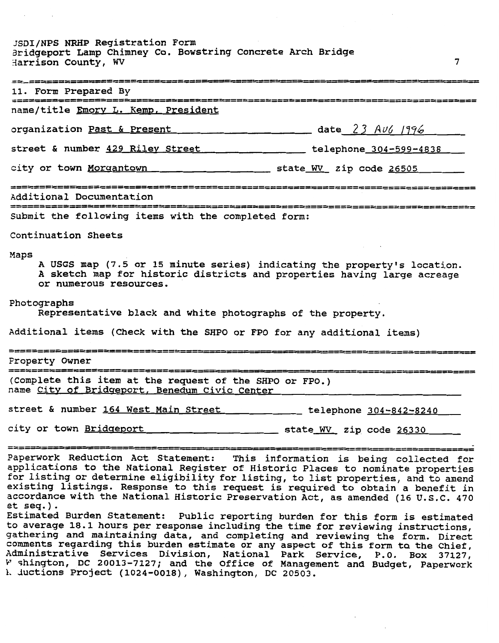**JSDIINPS NRHP Registration Form aridgeport Lamp Chimney Co. Bowstring Concrete Arch Bridge 3arrison County, Wv** 

| 11. Form Prepared By                                                                                                                                                                  |                                |
|---------------------------------------------------------------------------------------------------------------------------------------------------------------------------------------|--------------------------------|
| name/title Emory L. Kemp, President                                                                                                                                                   |                                |
| organization Past & Present                                                                                                                                                           | $\frac{1}{2}$ date 23 Av6 1996 |
| street & number 429 Riley Street the telephone 304-599-4838                                                                                                                           |                                |
|                                                                                                                                                                                       |                                |
| Additional Documentation                                                                                                                                                              |                                |
| Submit the following items with the completed form:                                                                                                                                   |                                |
| Continuation Sheets                                                                                                                                                                   |                                |
| Maps<br>A USGS map (7.5 or 15 minute series) indicating the property's location.<br>A sketch map for historic districts and properties having large acreage<br>or numerous resources. |                                |
| Photographs<br>Representative black and white photographs of the property.                                                                                                            |                                |
| Additional items (Check with the SHPO or FPO for any additional items)                                                                                                                |                                |
| Property Owner                                                                                                                                                                        |                                |
| (Complete this item at the request of the SHPO or FPO.)<br>name City of Bridgeport, Benedum Civic Center                                                                              |                                |
| street & number 164 West Main Street ________ telephone 304-842-8240                                                                                                                  |                                |
| city or town Bridgeport                                                                                                                                                               | state WV zip code 26330        |
| -------------------------------                                                                                                                                                       |                                |

 $\overline{7}$ 

**Paperwork Reduction Act Statement: This information is being collected for**  aperwork Requeston Act Statement: This Information is being collected for<br>polications to the National Begister of Historic Places to newlect we have **for listing or determine eligibility for listing, to list properties, and to amend existing listings. Response to this request is required to obtain a benefit in accordance with the National Historic Preservation Act, as amended (16 U.S.C. 470 et seq.). Estimated Burden Statement: Public reporting burden for this form is estimated** 

**to average 18.1 hours per response including the time for reviewing instructions, gathering and maintaining data, and completing and reviewing the form. Direct**  achering and maintaining data, and completing and reviewing the form. Direct<br>omments regarding this burden estimate ar any aspect of this form to the Chief, **Administrative Services Division, National Dark Service, p.0. Box 37127, and 37127, and 37127, and 37127, and** Y **shington, DC 20013-7127; and the Office of Management and Budget, Paperwork 1. ductions Project (1024-0018), Washington, DC 20503.**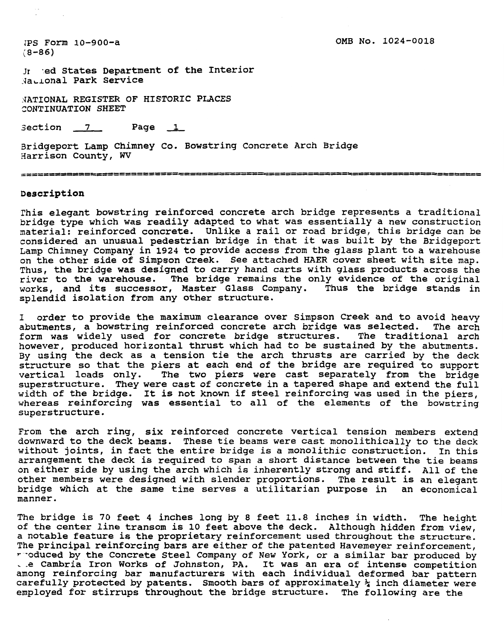IPS Form 10-900-a  $(8 - 86)$ 

Jr ed States Department of the Interior -4adonal Park Service

AATIONAL REGISTER OF HISTORIC PLACES XAILOMAD REGISTER OF HISTORIC .<br>CONTINUATION SHEET<br>Section 7 Page 1

Bridgeport Lamp Chimney Co. Bowstring Concrete Arch Bridge 3arrison County, W

## Description

This elegant bowstring reinforced concrete arch bridge represents a traditional bridge type which was readily adapted to what was essentially a new construction material: reinforced concrete. Unlike a rail or road bridge, this bridge can be considered an unusual pedestrian bridge in that it was built by the Bridgeport Lamp Chimney Company in **1924** to provide access from the glass plant to a warehouse on the other side of Simpson Creek. See attached HAER cover sheet with site map. Thus, the bridge was designed to carry hand carts with glass products across the river to the warehouse. The bridge remains the only evidence of the original works, and its successor, Master Glass Company. Thus the bridge stands in splendid isolation from any other structure.

**1** order to provide the maximum clearance over Simpson Creek and to avoid heavy abutments, a bowstring reinforced concrete arch bridge was selected. The arch<br>form was widely used for concrete bridge structures. The traditional arch form was widely used for concrete bridge structures. however, produced horizontal thrust which had to be sustained by the abutments. By using the deck as a tension tie the arch thrusts are carried by the deck structure so that the piers at each end of the bridge are required to support vertical loads only. The two piers were cast separately from the bridge superstructure. They were cast of concrete in a tapered shape and extend the full width of the bridge. It is not known if steel reinforcing was used in the piers, whereas reinforcing was essential to all of the elements of the bowstring superstructure.

From the arch ring, six reinforced concrete vertical tension members extend downward to the deck beams. These tie beams were cast monolithically to the deck without joints, in fact the entire bridge is a monolithic construction. In this arrangement the deck is required to span a short distance between the tie beams on either side by using the arch which is inherently strong and stiff. All of the other members were designed with slender proportions. The result is an elegant bridge which at the same time serves a utilitarian purpose in an economical manner.

The bridge is 70 feet **4** inches long by 8 feet **11.8** inches in width. The height of the center line transom is **10** feet above the deck. Although hidden from view, a notable feature is the proprietary reinforcement used throughout the structure. The principal reinforcing bars are either of the patented Havemeyer reinforcement,<br>reduced by the Concrete Steel Company of New York, or a similar bar produced by . e Cambria Iron Works of Johnston, PA. It was an era of intense competition among reinforcing bar manufacturers with each individual deformed bar pattern carefully protected by patents. Smooth bars of approximately  $\frac{1}{4}$  inch diameter were employed for stirrups throughout the bridge structure. The following are the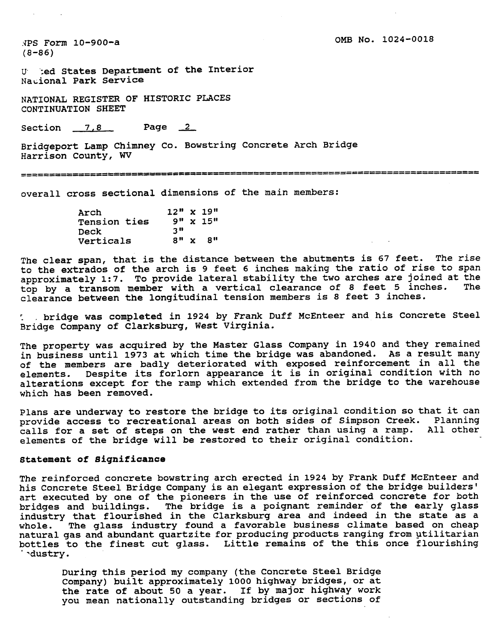NPS Form 10-900-a  $(8 - 86)$ 

**U. 'zed States Department of the Interior Nacional Park Service** 

**NATIONAL REGISTER OF HISTORIC PLACES CONTINUATION SHEET** 

**Section 7.8 Page** 2

**Bridgeport Lamp Chimney Co. Bowstring Concrete Arch Bridge Harrison County, WV** 

**overall cross sectional dimensions of the main members:** 

| Arch                | $12'' \times 19''$ |                   |
|---------------------|--------------------|-------------------|
| <b>Tension ties</b> |                    | $9'' \times 15''$ |
| <b>Deck</b>         | 311                |                   |
| Verticals           | 8'' x              | - 8 H             |

**The clear span, that is the distance between the abutments is 67 feet. The rise to the extrados of the arch is 9 feet 6 inches making the ratio of rise to span approximately 1:7. To provide lateral stability the two arches are joined at the**  top by a transom member with a vertical clearance of 8 feet 5 inches. **clearance between the longitudinal tension members is 8 feet 3 inches.** 

: , **bridge was completed in 1924 by Frank Duff McEnteer and his Concrete Steel Bridge Company of Clarksburg, West Virginia.** 

**The property was acquired by the Master Glass Company in 1940 and they remained in business until 1973 at which time the bridge was abandoned. As a result many of the members are badly deteriorated with exposed reinforcement in all the elements. Despite its forlorn appearance it is in original condition with no alterations except for the ramp which extended from the bridge to the warehouse which has been removed.** 

**Plans are underway to restore the bridge to its original condition so that it can provide access to recreational areas on both sides of Simpson Creek. Planning calls for a set of steps on the west end rather than using a ramp. All other elements of the bridge will be restored to their original condition.** 

## **statement of Significance**

**The reinforced concrete bowstring arch erected in 1924 by Frank Duff McEnteer and**  his Concrete Steel Bridge Company is an elegant expression of the bridge builders' **art executed by one of the pioneers in the use of reinforced concrete for both bridges and buildings. The bridge is a poignant reminder of the early glass industry that flourished in the Clarksburg area and indeed in the state as a whole. The glass industry found a favorable business climate based on cheap natural gas and abundant quartzite for producing products ranging from utilitarian bottles to the finest cut glass. Little remains of the this once flourishing**  ' **~dustry** .

**During this period my company (the Concrete Steel Bridge Company) built approximately 1000 highway bridges, or at the rate of about 50 a year. If by major highway work you mean nationally outstanding bridges or sections of**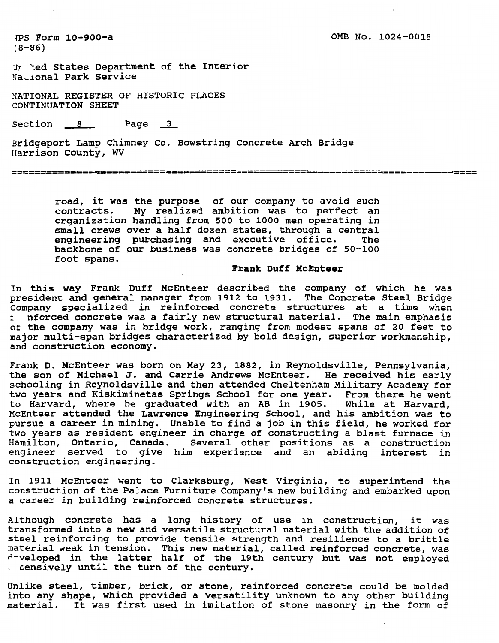JPS Form 10-900-a  $(8 - 86)$ 

**3 'ed States Department of the Interior Nadonal Park Service** 

**NATIONAL REGISTER OF HISTORIC PLACES CONTINUATION SHEET**<br> **Section** <u>8</u> **Page** <u>3</u>

**Bridgeport Lamp Chimney Co. Bowstring Concrete Arch Bridge Harrison County, WV** 

**road, it was the purpose of our company to avoid such contracts. My realized ambition was to perfect an organization handling from 500 to 1000 men operating in small crews over a half dozen states, through a central engineering purchasing and executive office. The backbone of our business was concrete bridges of 50-100 foot spans.** 

# **Frank Duff McEnteer**

**In this way Frank Duff McEnteer described the company of which he was president and general manager from 1912 to 1931. The Concrete Steel Bridge Company specialized in reinforced concrete structures at a time when nforced concrete was a fairly new structural material. The main emphasis or the company was in bridge work, ranging from modest spans of 20 feet to major multi-span bridges characterized by bold design, superior workmanship, and construction economy.** 

**Frank D. McEnteer was born on May 23, 1882, in Reynoldsville, Pennsylvania, the son of Michael J. and Carrie Andrews McEnteer. He received his early schooling in Reynoldsville and then attended Cheltenham Military Academy for two years and Kiskiminetas Springs School for one year. From there he went to Harvard, where he graduated with an AB in 1905. While at Harvard, McEnteer attended the Lawrence Engineering School, and his ambition was to pursue a career in mining. Unable to find a job in this field, he worked for two years as resident engineer in charge of constructing a blast furnace in Hamilton, Ontario, Canada. Several other positions as a construction engineer served to give him experience and an abiding interest in construction engineering.** 

**In 1911 McEnteer went to Clarksburg, West Virginia, to superintend the construction of the Palace Furniture Company's new building and embarked upon a career in building reinforced concrete structures.** 

**Although concrete has a long history of use in construction, it was transformed into a new and versatile structural material with the addition of steel reinforcing to provide tensile strength and resilience to a brittle material weak in tension. This new material, called reinforced concrete, was P-veloped in the latter half of the 19th century but was not employed** . **censively until the turn of the century.** 

**Unlike steel, timber, brick, or stone, reinforced concrete could be molded into any shape, which provided a versatility unknown to any other building material. It was first used in imitation of stone masonry in the form of**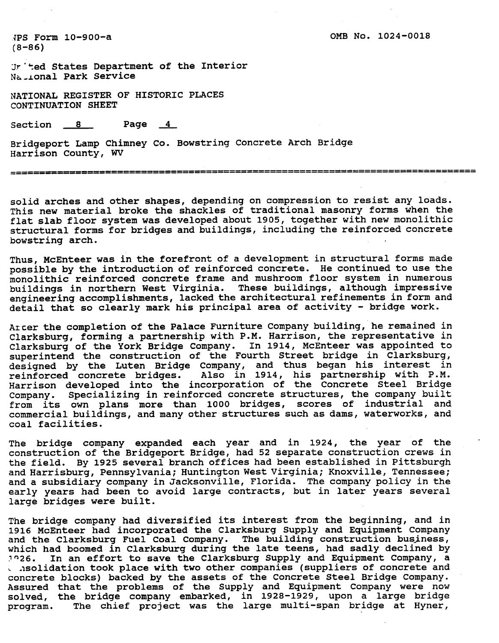**IPS Form 10-900-a (8-86)** 

**Jr'ted States Department of the Interior Na ...onal Park Service** 

**NATIONAL REGISTER OF HISTORIC PLACES CONTINUATION SHEET**<br>
Section <u>8</u> Page <u>4</u>

**Bridgeport Lamp Chimney Co. Bowstring Concrete Arch Bridge Harrison County, WV** 

**solid arches and other shapes, depending on compression to resist any loads. This new material broke the shackles of traditional masonry forms when the flat slab floor system was developed about 1905, together with new monolithic structural forms for bridges and buildings, including the reinforced concrete bowstring arch.** 

**Thus, McEnteer was in the forefront of a development in structural forms made possible by the introduction of reinforced concrete. He continued to use the monolithic reinforced concrete frame and mushroom floor system in numerous buildings in northern West Virginia. These buildings, although impressive engineering accomplishments, lacked the architectural refinements in form and detail that so clearly mark his principal area of activity** - **bridge work.** 

**Arcer the completion of the Palace Furniture Company building, he remained in Clarksburg, forming a partnership with P.M. Harrison, the representative in Clarksburg of the York Bridge Company. In 1914, McEnteer was appointed to superintend the construction of the Fourth Street bridge in Clarksburg, designed by the Luten Bridge Company, and thus began his interest in reinforced concrete bridges. Also in 1914, his partnership with P.M. Harrison developed into the incorporation of the Concrete Steel Bridge Company. Specializing in reinforced concrete structures, the company built from its own plans more than 1000 bridges, scores of industrial and commercial buildings, and many other structures such as dams, waterworks, and coal facilities.** 

**The bridge company expanded each year and in 1924, the year of the construction of the Bridgeport Bridge, had 52 separate construction crews in the field. By 1925 several branch offices had been established in Pittsburgh and Harrisburg, Pennsylvania; Huntington West Virginia; Knoxville, Tennessee; and a subsidiary company in Jacksonville, Florida. The company policy in the early years had been to avoid large contracts, but in later years several large bridges were built.** 

**The bridge company had diversified its interest from the beginning, and in 1916 McEnteer had incorporated the Clarksburg Supply and Equipment Company**  and the Clarksburg Fuel Coal Company. The building construction business, **which had boomed in Clarksburg during the late teens, had sadly declined by ln26. In an effort to save the Clarksburg Supply and Equipment Company, a and idention took place with two other companies (suppliers of concrete and concrete blocks) backed by the assets of the Concrete Steel Bridge Company. Assured that the problems of the Supply and Equipment Company were now solved, the bridge company embarked, in 1928-1929, upon a large bridge program. The chief project was the large multi-span bridge at Hyner,**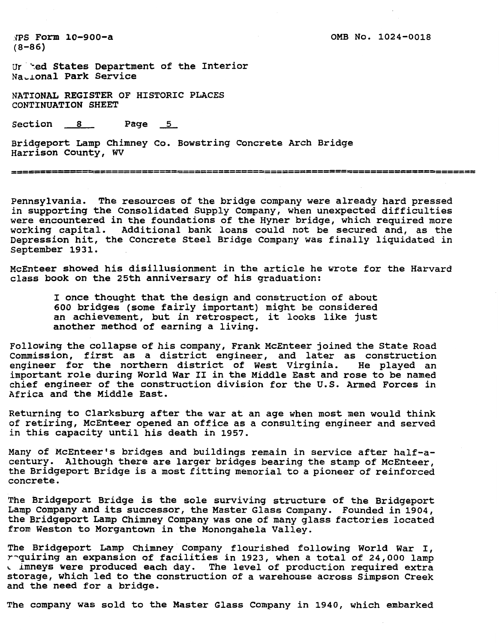**.IPS Form 10-900-a (8-86)** 

**Ur-'ed States Department of the Interior Nadonal Park Service** 

**NATIONAL REGISTER OF HISTORIC PLACES CONTINUATION SHEET** 

Section 8 Page 5

**Bridgeport Lamp Chimney Co. Bowstring Concrete Arch Bridge Harrison County, W** 

Pennsylvania. The resources of the bridge company were already hard pressed **in supporting the Consolidated Supply Company, when unexpected difficulties were encountered in the foundations of the Hyner bridge, which required more working capital. Additional bank loans could not be secured and, as the Depression hit, the Concrete Steel Bridge Company was finally liquidated in**  September 1931.

**McEnteer showed his disillusionment in the article he wrote for the Harvard class book on the 25th anniversary of his graduation:** 

**I once thought that the design and construction of about 600 bridges (some fairly important) might be considered an achievement, but in retrospect, it looks like just another method of earning a living.** 

**Following the collapse of his company, Frank McEnteer joined the State Road Commission, first as a district engineer, and later as construction engineer for the northern district of West Virginia. He played an important role during World War I1 in the Middle East and rose to be named chief engineer of the construction division for the U.S. Armed Forces in Africa and the Middle East.** 

**Returning to Clarksburg after the war at an age when most men would think of retiring, McEnteer opened an office as a consulting engineer and served in this capacity until his death in 1957.** 

Many of McEnteer's bridges and buildings remain in service after half-a**century. Although there are larger bridges bearing the stamp of McEnteer, the Bridgeport Bridge is a most fitting memorial to a pioneer of reinforced concrete.** 

**The Bridgeport Bridge is the sole surviving structure of the Bridgeport Lamp Company and its successor, the Master Glass Company. Founded in 1904, the Bridgeport Lamp Chimney Company was one of many glass factories located from Weston to Morgantown in the Monongahela Valley.** 

**The Bridgeport Lamp Chimney Company flourished following World War I, r-quiring an expansion of facilities in 1923, when a total of 24,000 lamp L imneys were produced each day. The level of production required extra storage, which led to the construction of a warehouse across Simpson Creek and the need for a bridge.** 

**The company was sold to the Master Glass Company in 1940, which embarked**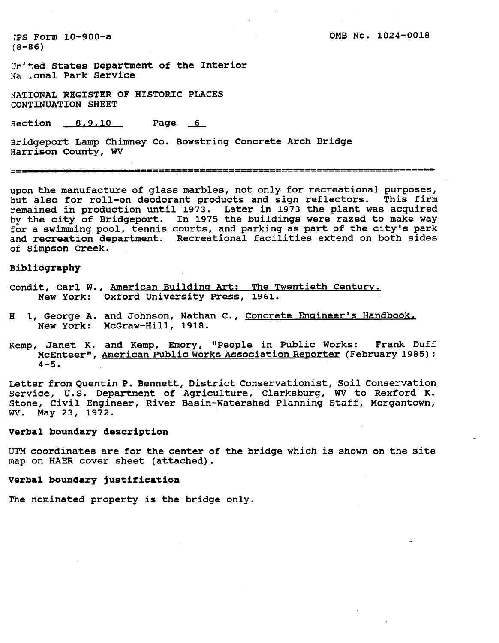**IPS Form 10-900-a (8-86)** 

**Jr'ted States Department of the Interior**  Na .onal Park Service

**NATIONAL REGISTER OF HISTORIC PLACES CONTINUATION SHEET** 

**section 8.9.10 Page 6** 

**Bridgeport Lamp Chimney Co. Bowstring Concrete Arch Bridge ~arrison County, WV** 

**upon the manufacture of glass marbles, not only for recreational purposes, but also for roll-on deodorant products and sign reflectors. This firm remained in production until 1973. Later in 1973 the plant was acquired by the city of Bridgeport. In 1975 the buildings were razed to make way for a swimming pool, tennis courts, and parking as part of the city's park and recreation department. Recreational facilities extend on both sides of Simpson Creek.** 

#### **Bibliography**

- **Condit, Carl W., American Buildina Art: The Twentieth Centurv. New York: Oxford University Press, 1961.**
- **H 1, George A. and Johnson, Nathan C., Concrete Enaineer's Handbook. New York: McGraw-Hill, 1918.**
- Kemp, Janet K. and Kemp, Emory, "People in Public Works: Frank Duff<br>McEnteer", <u>American Public Works Association Reporter</u> (February 1985): **4-5.**

**Letter from Quentin P. Bennett, District Conservationist, Soil Conservation**  Service, U.S. Department of Agriculture, Clarksburg, WV to Rexford K. **Stone, Civil Engineer, River Basin-Watershed Planning Staff, Morgantown, WV. May 23, 1972.** 

## **Verbal boundary description**

UTM **coordinates are for the center of the bridge which is shown on the site map on HAER cover sheet (attached).** 

# **Verbal boundary justification**

**The nominated property is the bridge only.**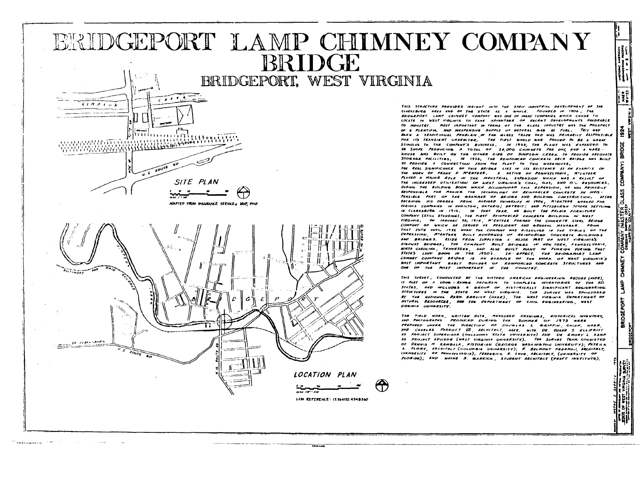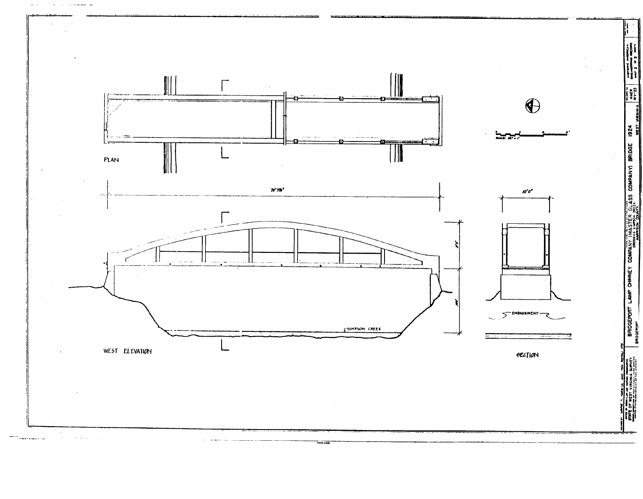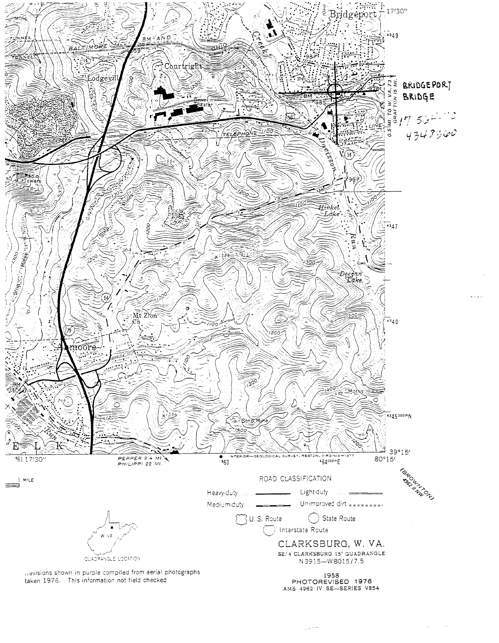